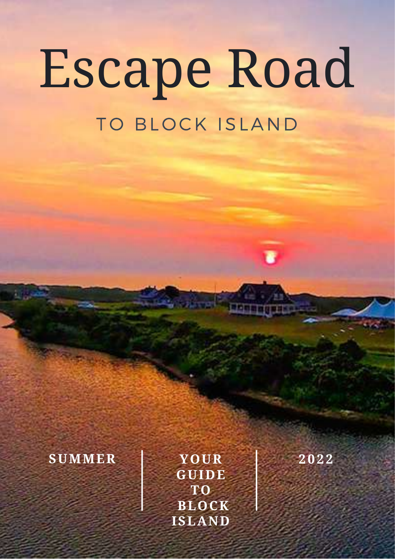# Escape Road TO BLOCK ISLAND

## **SUMMER 2 0 2 2**

**YOUR GUIDE TO BLOCK ISLAND**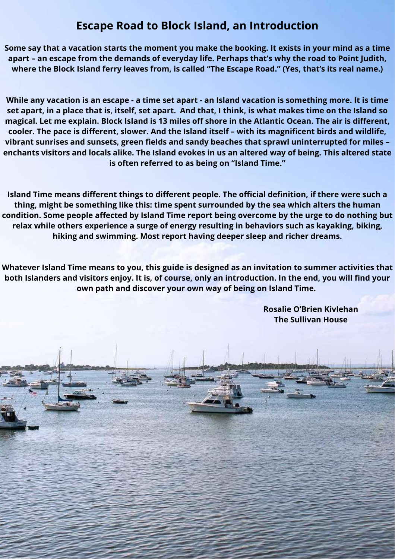## **Escape Road to Block Island, an Introduction**

Some say that a vacation starts the moment you make the booking. It exists in your mind as a time **apart – an escape from the demands of everyday life. Perhaps that's why the road to Point Judith, where the Block Island ferry leaves from, is called "The Escape Road." (Yes, that's its real name.)**

While any vacation is an escape - a time set apart - an Island vacation is something more. It is time set apart, in a place that is, itself, set apart. And that, I think, is what makes time on the Island so magical. Let me explain. Block Island is 13 miles off shore in the Atlantic Ocean. The air is different, **cooler. The pace is different, slower. And the Island itself – with its magnificent birds and wildlife, vibrant sunrises and sunsets, green fields and sandy beaches that sprawl uninterrupted for miles –** enchants visitors and locals alike. The Island evokes in us an altered way of being. This altered state **is often referred to as being on "Island Time."**

**Island Time means different things to different people. The official definition, if there were such a thing, might be something like this: time spent surrounded by the sea which alters the human condition. Some people affected by Island Time report being overcome by the urge to do nothing but relax while others experience a surge of energy resulting in behaviors such as kayaking, biking, hiking and swimming. Most report having deeper sleep and richer dreams.**

**Whatever Island Time means to you, this guide is designed as an invitation to summer activities that** both Islanders and visitors enjoy. It is, of course, only an introduction. In the end, you will find your **own path and discover your own way of being on Island Time.**

> **Rosalie O'Brien Kivlehan The Sullivan House**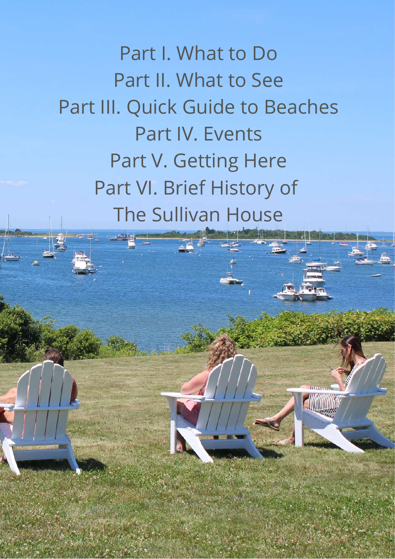Part I. What to Do Part II. What to See Part III. Quick Guide to Beaches Part IV. Events Part V. Getting Here Part VI. Brief History of The Sullivan House

**Allinoon**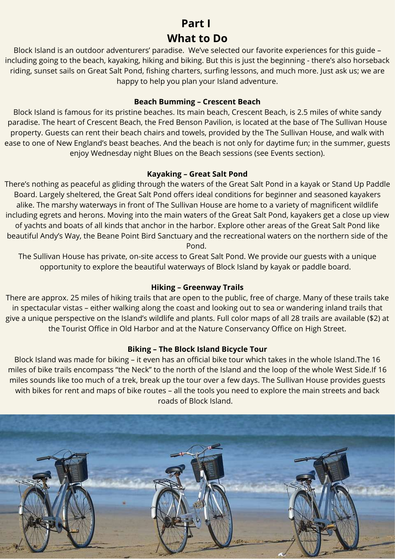## **Part I What to Do**

Block Island is an outdoor adventurers' paradise. We've selected our favorite experiences for this guide – including going to the beach, kayaking, hiking and biking. But this is just the beginning - there's also horseback riding, sunset sails on Great Salt Pond, fishing charters, surfing lessons, and much more. Just ask us; we are happy to help you plan your Island adventure.

#### **Beach Bumming – Crescent Beach**

Block Island is famous for its pristine beaches. Its main beach, Crescent Beach, is 2.5 miles of white sandy paradise. The heart of Crescent Beach, the Fred Benson Pavilion, is located at the base of The Sullivan House property. Guests can rent their beach chairs and towels, provided by the The Sullivan House, and walk with ease to one of New England's beast beaches. And the beach is not only for daytime fun; in the summer, guests enjoy Wednesday night Blues on the Beach sessions (see Events section).

#### **Kayaking – Great Salt Pond**

There's nothing as peaceful as gliding through the waters of the Great Salt Pond in a kayak or Stand Up Paddle Board. Largely sheltered, the Great Salt Pond offers ideal conditions for beginner and seasoned kayakers alike. The marshy waterways in front of The Sullivan House are home to a variety of magnificent wildlife including egrets and herons. Moving into the main waters of the Great Salt Pond, kayakers get a close up view of yachts and boats of all kinds that anchor in the harbor. Explore other areas of the Great Salt Pond like beautiful Andy's Way, the Beane Point Bird Sanctuary and the recreational waters on the northern side of the Pond.

The Sullivan House has private, on-site access to Great Salt Pond. We provide our guests with a unique opportunity to explore the beautiful waterways of Block Island by kayak or paddle board.

#### **Hiking – Greenway Trails**

There are approx. 25 miles of hiking trails that are open to the public, free of charge. Many of these trails take in spectacular vistas – either walking along the coast and looking out to sea or wandering inland trails that give a unique perspective on the Island's wildlife and plants. Full color maps of all 28 trails are available (\$2) at the Tourist Office in Old Harbor and at the Nature Conservancy Office on High Street.

#### **Biking – The Block Island Bicycle Tour**

Block Island was made for biking – it even has an official bike tour which takes in the whole Island.The 16 miles of bike trails encompass "the Neck" to the north of the Island and the loop of the whole West Side.If 16 miles sounds like too much of a trek, break up the tour over a few days. The Sullivan House provides guests with bikes for rent and maps of bike routes – all the tools you need to explore the main streets and back roads of Block Island.

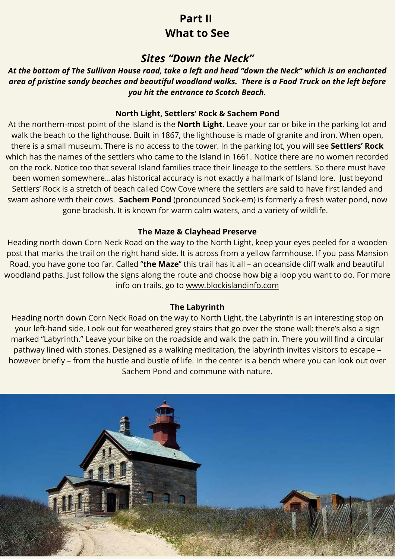## **Part II What to See**

## *Sites "Down the Neck"*

*At the bottom of The Sullivan House road, take a left and head "down the Neck" which is an enchanted area of pristine sandy beaches and beautiful woodland walks. There is a Food Truck on the left before you hit the entrance to Scotch Beach.*

#### **North Light, Settlers' Rock & Sachem Pond**

At the northern-most point of the Island is the **North Light**. Leave your car or bike in the parking lot and walk the beach to the lighthouse. Built in 1867, the lighthouse is made of granite and iron. When open, there is a small museum. There is no access to the tower. In the parking lot, you will see **Settlers' Rock** which has the names of the settlers who came to the Island in 1661. Notice there are no women recorded on the rock. Notice too that several Island families trace their lineage to the settlers. So there must have been women somewhere…alas historical accuracy is not exactly a hallmark of Island lore. Just beyond Settlers' Rock is a stretch of beach called Cow Cove where the settlers are said to have first landed and swam ashore with their cows. **Sachem Pond** (pronounced Sock-em) is formerly a fresh water pond, now gone brackish. It is known for warm calm waters, and a variety of wildlife.

#### **The Maze & Clayhead Preserve**

Heading north down Corn Neck Road on the way to the North Light, keep your eyes peeled for a wooden post that marks the trail on the right hand side. It is across from a yellow farmhouse. If you pass Mansion Road, you have gone too far. Called "**the Maze**" this trail has it all – an oceanside cliff walk and beautiful woodland paths. Just follow the signs along the route and choose how big a loop you want to do. For more info on trails, go to [www.blockislandinfo.com](http://blockislandinfo.com/)

#### **The Labyrinth**

Heading north down Corn Neck Road on the way to North Light, the Labyrinth is an interesting stop on your left-hand side. Look out for weathered grey stairs that go over the stone wall; there's also a sign marked "Labyrinth." Leave your bike on the roadside and walk the path in. There you will find a circular pathway lined with stones. Designed as a walking meditation, the labyrinth invites visitors to escape – however briefly – from the hustle and bustle of life. In the center is a bench where you can look out over Sachem Pond and commune with nature.

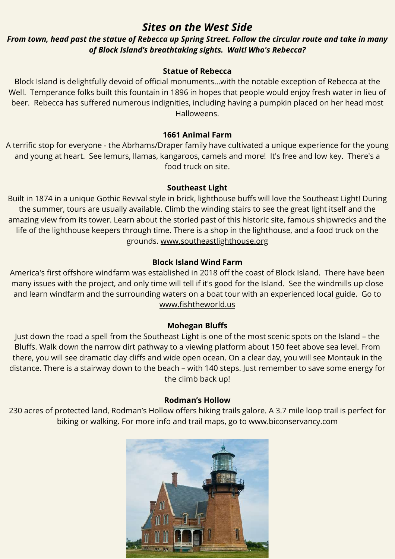## *Sites on the West Side*

#### *From town, head past the statue of Rebecca up Spring Street. Follow the circular route and take in many of Block Island's breathtaking sights. Wait! Who's Rebecca?*

#### **Statue of Rebecca**

Block Island is delightfully devoid of official monuments...with the notable exception of Rebecca at the Well. Temperance folks built this fountain in 1896 in hopes that people would enjoy fresh water in lieu of beer. Rebecca has suffered numerous indignities, including having a pumpkin placed on her head most Halloweens.

#### **1661 Animal Farm**

A terrific stop for everyone - the Abrhams/Draper family have cultivated a unique experience for the young and young at heart. See lemurs, llamas, kangaroos, camels and more! It's free and low key. There's a food truck on site.

#### **Southeast Light**

Built in 1874 in a unique Gothic Revival style in brick, lighthouse buffs will love the Southeast Light! During the summer, tours are usually available. Climb the winding stairs to see the great light itself and the amazing view from its tower. Learn about the storied past of this historic site, famous shipwrecks and the life of the lighthouse keepers through time. There is a shop in the lighthouse, and a food truck on the grounds. [www.southeastlighthouse.org](http://www.southeastlighthouse.org/)

#### **Block Island Wind Farm**

America's first offshore windfarm was established in 2018 off the coast of Block Island. There have been many issues with the project, and only time will tell if it's good for the Island. See the windmills up close and learn windfarm and the surrounding waters on a boat tour with an experienced local guide. Go to [www.fishtheworld.us](http://www.fishtheworld.us/)

#### **Mohegan Bluffs**

Just down the road a spell from the Southeast Light is one of the most scenic spots on the Island – the Bluffs. Walk down the narrow dirt pathway to a viewing platform about 150 feet above sea level. From there, you will see dramatic clay cliffs and wide open ocean. On a clear day, you will see Montauk in the distance. There is a stairway down to the beach – with 140 steps. Just remember to save some energy for the climb back up!

#### **Rodman's Hollow**

230 acres of protected land, Rodman's Hollow offers hiking trails galore. A 3.7 mile loop trail is perfect for biking or walking. For more info and trail maps, go to [www.biconservancy.com](http://www.biconservancy.com/)

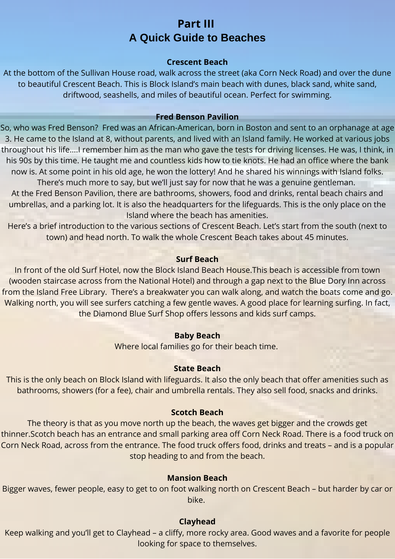## **Part III A Quick Guide to Beaches**

#### **Crescent Beach**

At the bottom of the Sullivan House road, walk across the street (aka Corn Neck Road) and over the dune to beautiful Crescent Beach. This is Block Island's main beach with dunes, black sand, white sand, driftwood, seashells, and miles of beautiful ocean. Perfect for swimming.

#### **Fred Benson Pavilion**

So, who was Fred Benson? Fred was an African-American, born in Boston and sent to an orphanage at age 3. He came to the Island at 8, without parents, and lived with an Island family. He worked at various jobs throughout his life….I remember him as the man who gave the tests for driving licenses. He was, I think, in his 90s by this time. He taught me and countless kids how to tie knots. He had an office where the bank now is. At some point in his old age, he won the lottery! And he shared his winnings with Island folks.

There's much more to say, but we'll just say for now that he was a genuine gentleman. At the Fred Benson Pavilion, there are bathrooms, showers, food and drinks, rental beach chairs and umbrellas, and a parking lot. It is also the headquarters for the lifeguards. This is the only place on the Island where the beach has amenities.

Here's a brief introduction to the various sections of Crescent Beach. Let's start from the south (next to town) and head north. To walk the whole Crescent Beach takes about 45 minutes.

#### **Surf Beach**

In front of the old Surf Hotel, now the Block Island Beach House.This beach is accessible from town (wooden staircase across from the National Hotel) and through a gap next to the Blue Dory Inn across from the Island Free Library. There's a breakwater you can walk along, and watch the boats come and go. Walking north, you will see surfers catching a few gentle waves. A good place for learning surfing. In fact, the Diamond Blue Surf Shop offers lessons and kids surf camps.

#### **Baby Beach**

Where local families go for their beach time.

#### **State Beach**

This is the only beach on Block Island with lifeguards. It also the only beach that offer amenities such as bathrooms, showers (for a fee), chair and umbrella rentals. They also sell food, snacks and drinks.

#### **Scotch Beach**

The theory is that as you move north up the beach, the waves get bigger and the crowds get thinner.Scotch beach has an entrance and small parking area off Corn Neck Road. There is a food truck on Corn Neck Road, across from the entrance. The food truck offers food, drinks and treats – and is a popular stop heading to and from the beach.

#### **Mansion Beach**

Bigger waves, fewer people, easy to get to on foot walking north on Crescent Beach – but harder by car or bike.

#### **Clayhead**

Keep walking and you'll get to Clayhead – a cliffy, more rocky area. Good waves and a favorite for people looking for space to themselves.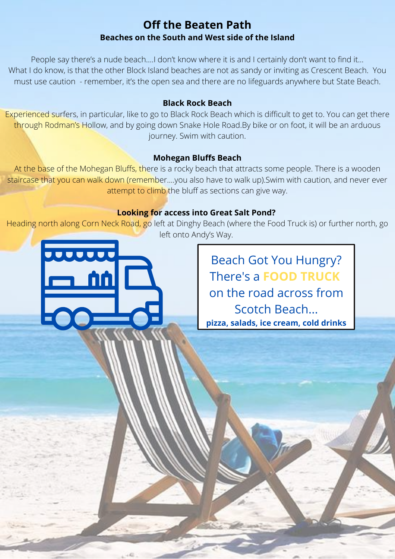### **Off the Beaten Path Beaches on the South and West side of the Island**

People say there's a nude beach….I don't know where it is and I certainly don't want to find it… What I do know, is that the other Block Island beaches are not as sandy or inviting as Crescent Beach. You must use caution - remember, it's the open sea and there are no lifeguards anywhere but State Beach.

#### **Black Rock Beach**

Experienced surfers, in particular, like to go to Black Rock Beach which is difficult to get to. You can get there through Rodman's Hollow, and by going down Snake Hole Road.By bike or on foot, it will be an arduous journey. Swim with caution.

#### **Mohegan Bluffs Beach**

At the base of the Mohegan Bluffs, there is a rocky beach that attracts some people. There is a wooden staircase that you can walk down (remember....you also have to walk up). Swim with caution, and never ever attempt to climb the bluff as sections can give way.

#### **Looking for access into Great Salt Pond?**

Heading north along Corn Neck Road, go left at Dinghy Beach (where the Food Truck is) or further north, go left onto Andy's Way.

**JUULUU** 

Beach Got You Hungry? There's a **FOOD TRUCK** on the road across from Scotch Beach... **pizza, salads, ice cream, cold drinks**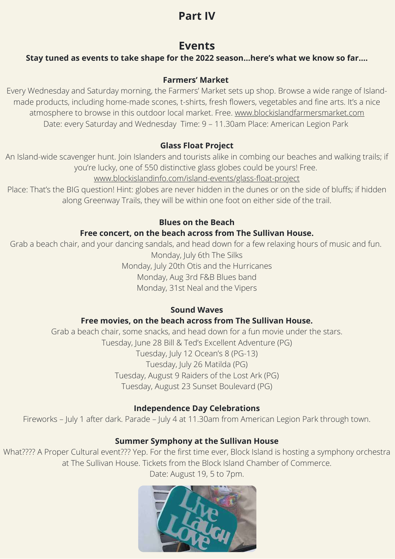## **Part IV**

## **Events**

#### **Stay tuned as events to take shape for the 2022 season…here's what we know so far….**

#### **Farmers' Market**

Every Wednesday and Saturday morning, the Farmers' Market sets up shop. Browse a wide range of Islandmade products, including home-made scones, t-shirts, fresh flowers, vegetables and fine arts. It's a nice atmosphere to browse in this outdoor local market. Free. [www.blockislandfarmersmarket.com](http://www.blockislandfarmersmarket.com/) Date: every Saturday and Wednesday Time: 9 – 11.30am Place: American Legion Park

#### **Glass Float Project**

An Island-wide scavenger hunt. Join Islanders and tourists alike in combing our beaches and walking trails; if you're lucky, one of 550 distinctive glass globes could be yours! Free.

[www.blockislandinfo.com/island-events/glass-float-project](http://www.blockislandinfo.com/island-events/glass-float-project)

Place: That's the BIG question! Hint: globes are never hidden in the dunes or on the side of bluffs; if hidden along Greenway Trails, they will be within one foot on either side of the trail.

#### **Blues on the Beach**

#### **Free concert, on the beach across from The Sullivan House.**

Grab a beach chair, and your dancing sandals, and head down for a few relaxing hours of music and fun. Monday, July 6th The Silks Monday, July 20th Otis and the Hurricanes

Monday, Aug 3rd F&B Blues band

Monday, 31st Neal and the Vipers

#### **Sound Waves**

#### **Free movies, on the beach across from The Sullivan House.**

Grab a beach chair, some snacks, and head down for a fun movie under the stars. Tuesday, June 28 Bill & Ted's Excellent Adventure (PG) Tuesday, July 12 Ocean's 8 (PG-13) Tuesday, July 26 Matilda (PG) Tuesday, August 9 Raiders of the Lost Ark (PG) Tuesday, August 23 Sunset Boulevard (PG)

#### **Independence Day Celebrations**

Fireworks – July 1 after dark. Parade – July 4 at 11.30am from American Legion Park through town.

#### **Summer Symphony at the Sullivan House**

What???? A Proper Cultural event??? Yep. For the first time ever, Block Island is hosting a symphony orchestra at The Sullivan House. Tickets from the Block Island Chamber of Commerce.

Date: August 19, 5 to 7pm.

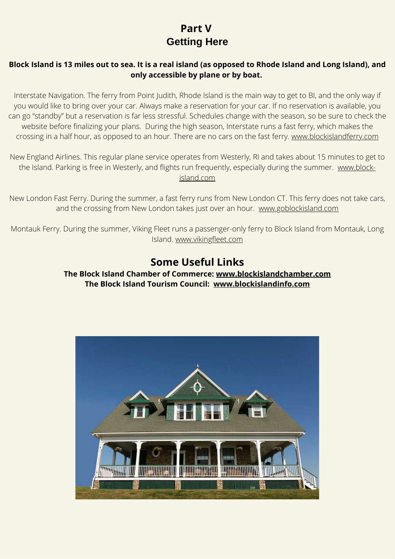## **Part V Getting Here**

#### **Block Island is 13 miles out to sea. It is a real island (as opposed to Rhode Island and Long Island), and only accessible by plane or by boat.**

Interstate Navigation. The ferry from Point Judith, Rhode Island is the main way to get to BI, and the only way if you would like to bring over your car. Always make a reservation for your car. If no reservation is available, you can go "standby" but a reservation is far less stressful. Schedules change with the season, so be sure to check the website before finalizing your plans. During the high season, Interstate runs a fast ferry, which makes the crossing in a half hour, as opposed to an hour. There are no cars on the fast ferry. [www.blockislandferry.com](http://www.blockislandferry.com/)

New England Airlines. This regular plane service operates from Westerly, RI and takes about 15 minutes to get to the Island. Parking is free in Westerly, and flight[s run frequently, especially during the summer. www.block](http://www.block-island.com/)island.com

New London Fast Ferry. During the summer, a fast ferry runs from New London CT. This ferry does not take cars, and the crossing from New London takes just over an hour. [www.goblockisland.com](https://www.goblockisland.com/)

Montauk Ferry. During the summer, Viking Fleet runs a passenger-only ferry to Block Island from Montauk, Long Island. [www.vikingfleet.com](http://www.vikingfleet.com/)

## **Some Useful Links**

**The Block Island Chamber of Commerce: [www.blockislandchamber.com](http://www.blockislandchamber.com/) The Block Island Tourism Council: [www.blockislandinfo.com](http://www.blockislandinfo.com/)**

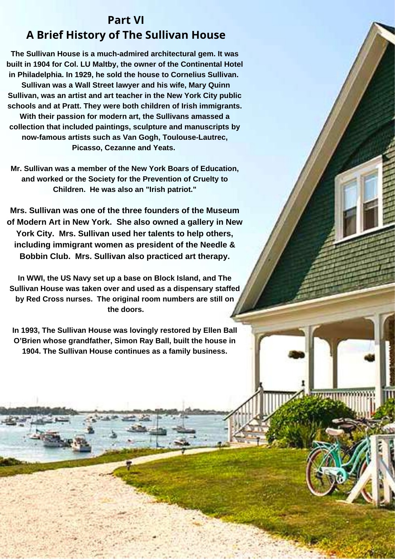## **Part VI A Brief History of The Sullivan House**

**The Sullivan House is a much-admired architectural gem. It was built in 1904 for Col. LU Maltby, the owner of the Continental Hotel in Philadelphia. In 1929, he sold the house to Cornelius Sullivan. Sullivan was a Wall Street lawyer and his wife, Mary Quinn Sullivan, was an artist and art teacher in the New York City public schools and at Pratt. They were both children of Irish immigrants. With their passion for modern art, the Sullivans amassed a collection that included paintings, sculpture and manuscripts by now-famous artists such as Van Gogh, Toulouse-Lautrec, Picasso, Cezanne and Yeats.**

**Mr. Sullivan was a member of the New York Boars of Education, and worked or the Society for the Prevention of Cruelty to Children. He was also an "Irish patriot."**

**Mrs. Sullivan was one of the three founders of the Museum of Modern Art in New York. She also owned a gallery in New York City. Mrs. Sullivan used her talents to help others, including immigrant women as president of the Needle & Bobbin Club. Mrs. Sullivan also practiced art therapy.**

**In WWI, the US Navy set up a base on Block Island, and The Sullivan House was taken over and used as a dispensary staffed by Red Cross nurses. The original room numbers are still on the doors.**

**In 1993, The Sullivan House was lovingly restored by Ellen Ball O'Brien whose grandfather, Simon Ray Ball, built the house in 1904. The Sullivan House continues as a family business.**